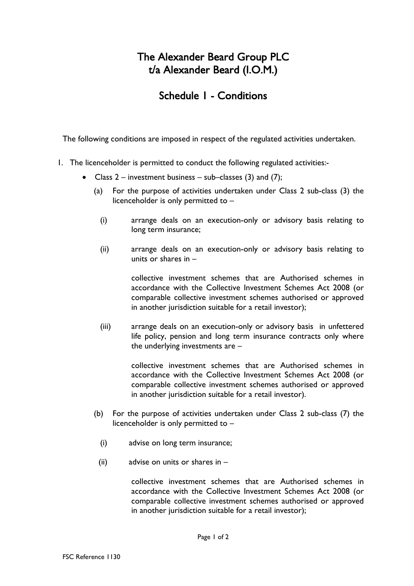# The Alexander Beard Group PLC t/a Alexander Beard (I.O.M.)

## Schedule 1 - Conditions

The following conditions are imposed in respect of the regulated activities undertaken.

- 1. The licenceholder is permitted to conduct the following regulated activities:-
	- Class  $2$  investment business sub–classes (3) and (7);
		- (a) For the purpose of activities undertaken under Class 2 sub-class (3) the licenceholder is only permitted to –
			- (i) arrange deals on an execution-only or advisory basis relating to long term insurance;
			- (ii) arrange deals on an execution-only or advisory basis relating to units or shares in –

collective investment schemes that are Authorised schemes in accordance with the Collective Investment Schemes Act 2008 (or comparable collective investment schemes authorised or approved in another jurisdiction suitable for a retail investor);

(iii) arrange deals on an execution-only or advisory basis in unfettered life policy, pension and long term insurance contracts only where the underlying investments are –

> collective investment schemes that are Authorised schemes in accordance with the Collective Investment Schemes Act 2008 (or comparable collective investment schemes authorised or approved in another jurisdiction suitable for a retail investor).

- (b) For the purpose of activities undertaken under Class 2 sub-class (7) the licenceholder is only permitted to –
	- (i) advise on long term insurance;
	- (ii) advise on units or shares in –

collective investment schemes that are Authorised schemes in accordance with the Collective Investment Schemes Act 2008 (or comparable collective investment schemes authorised or approved in another jurisdiction suitable for a retail investor);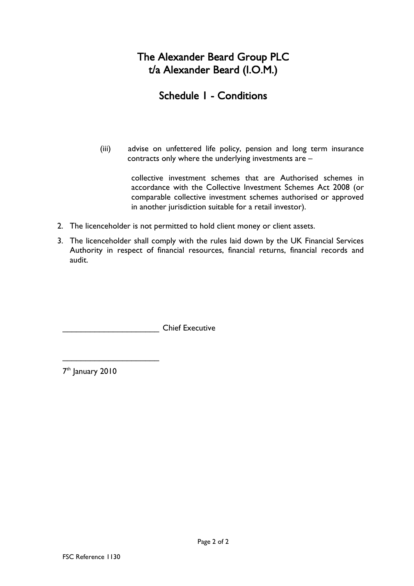# The Alexander Beard Group PLC t/a Alexander Beard (I.O.M.)

# Schedule 1 - Conditions

(iii) advise on unfettered life policy, pension and long term insurance contracts only where the underlying investments are –

> collective investment schemes that are Authorised schemes in accordance with the Collective Investment Schemes Act 2008 (or comparable collective investment schemes authorised or approved in another jurisdiction suitable for a retail investor).

- 2. The licenceholder is not permitted to hold client money or client assets.
- 3. The licenceholder shall comply with the rules laid down by the UK Financial Services Authority in respect of financial resources, financial returns, financial records and audit.

\_\_\_\_\_\_\_\_\_\_\_\_\_\_\_\_\_\_\_\_\_ Chief Executive

7<sup>th</sup> January 2010

\_\_\_\_\_\_\_\_\_\_\_\_\_\_\_\_\_\_\_\_\_